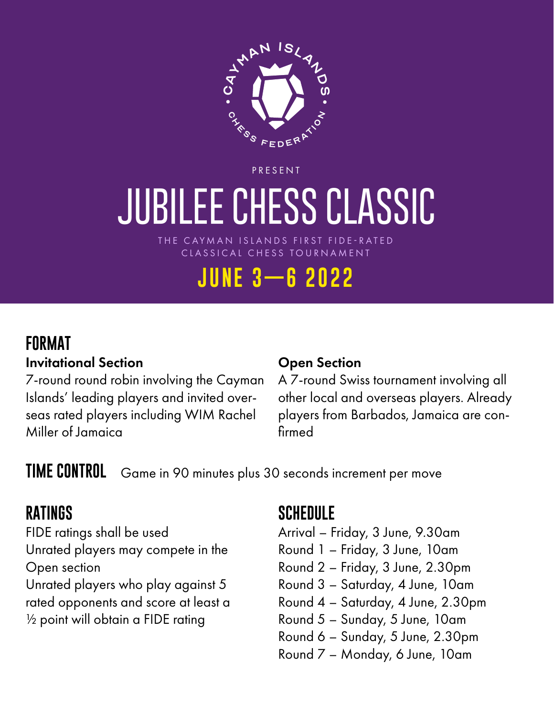

PRESENT

# **JUBILEE CHESS CLASSIC**

THE CAYMAN ISLANDS FIRST FIDE-RATED CLASSICAL CHESS TOURNAMENT

## **JUNE 3—6 2022**

#### **FORMAT**

#### Invitational Section

7-round round robin involving the Cayman Islands' leading players and invited overseas rated players including WIM Rachel Miller of Jamaica

#### Open Section

A 7-round Swiss tournament involving all other local and overseas players. Already players from Barbados, Jamaica are confirmed

**TIME CONTROL** Game in 90 minutes plus 30 seconds increment per move

#### **RATINGS**

FIDE ratings shall be used Unrated players may compete in the Open section Unrated players who play against 5 rated opponents and score at least a ½ point will obtain a FIDE rating

#### **SCHEDULE**

- Arrival Friday, 3 June, 9.30am
- Round 1 Friday, 3 June, 10am
- Round 2 Friday, 3 June, 2.30pm
- Round 3 Saturday, 4 June, 10am
- Round 4 Saturday, 4 June, 2.30pm
- Round 5 Sunday, 5 June, 10am
- Round 6 Sunday, 5 June, 2.30pm
- Round 7 Monday, 6 June, 10am